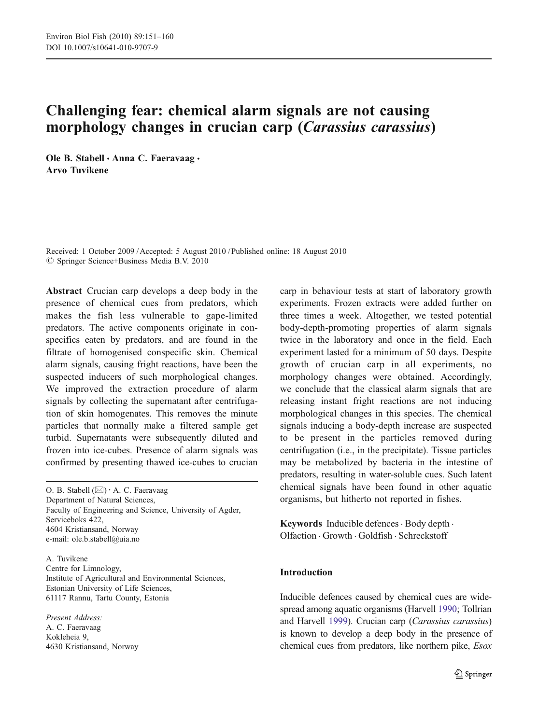# Challenging fear: chemical alarm signals are not causing morphology changes in crucian carp (*Carassius carassius*)

Ole B. Stabell · Anna C. Faeravaag · Arvo Tuvikene

Received: 1 October 2009 /Accepted: 5 August 2010 / Published online: 18 August 2010  $\oslash$  Springer Science+Business Media B.V. 2010

Abstract Crucian carp develops a deep body in the presence of chemical cues from predators, which makes the fish less vulnerable to gape-limited predators. The active components originate in conspecifics eaten by predators, and are found in the filtrate of homogenised conspecific skin. Chemical alarm signals, causing fright reactions, have been the suspected inducers of such morphological changes. We improved the extraction procedure of alarm signals by collecting the supernatant after centrifugation of skin homogenates. This removes the minute particles that normally make a filtered sample get turbid. Supernatants were subsequently diluted and frozen into ice-cubes. Presence of alarm signals was confirmed by presenting thawed ice-cubes to crucian

O. B. Stabell  $(\boxtimes) \cdot A$ . C. Faeravaag Department of Natural Sciences, Faculty of Engineering and Science, University of Agder, Serviceboks 422, 4604 Kristiansand, Norway e-mail: ole.b.stabell@uia.no

A. Tuvikene Centre for Limnology, Institute of Agricultural and Environmental Sciences, Estonian University of Life Sciences, 61117 Rannu, Tartu County, Estonia

Present Address: A. C. Faeravaag Kokleheia 9, 4630 Kristiansand, Norway carp in behaviour tests at start of laboratory growth experiments. Frozen extracts were added further on three times a week. Altogether, we tested potential body-depth-promoting properties of alarm signals twice in the laboratory and once in the field. Each experiment lasted for a minimum of 50 days. Despite growth of crucian carp in all experiments, no morphology changes were obtained. Accordingly, we conclude that the classical alarm signals that are releasing instant fright reactions are not inducing morphological changes in this species. The chemical signals inducing a body-depth increase are suspected to be present in the particles removed during centrifugation (i.e., in the precipitate). Tissue particles may be metabolized by bacteria in the intestine of predators, resulting in water-soluble cues. Such latent chemical signals have been found in other aquatic organisms, but hitherto not reported in fishes.

Keywords Inducible defences . Body depth . Olfaction . Growth . Goldfish . Schreckstoff

## Introduction

Inducible defences caused by chemical cues are widespread among aquatic organisms (Harvell [1990;](#page-8-0) Tollrian and Harvell [1999\)](#page-9-0). Crucian carp (Carassius carassius) is known to develop a deep body in the presence of chemical cues from predators, like northern pike, Esox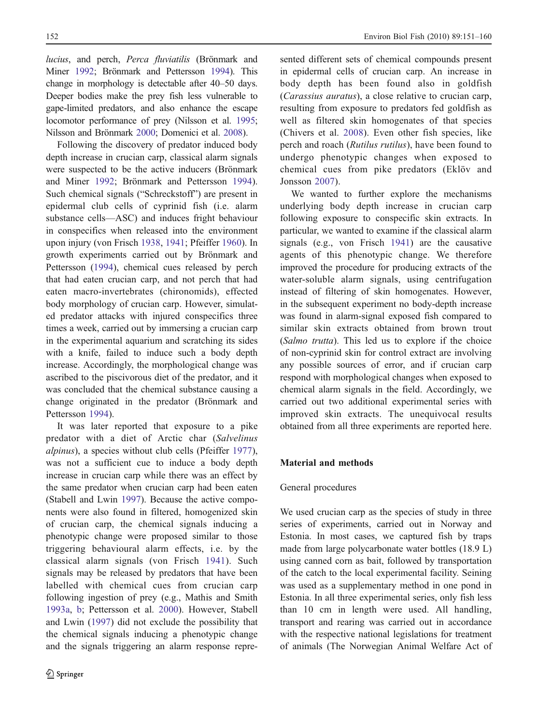lucius, and perch, Perca fluviatilis (Brönmark and Miner [1992;](#page-8-0) Brönmark and Pettersson [1994\)](#page-8-0). This change in morphology is detectable after 40–50 days. Deeper bodies make the prey fish less vulnerable to gape-limited predators, and also enhance the escape locomotor performance of prey (Nilsson et al. [1995](#page-9-0); Nilsson and Brönmark [2000](#page-9-0); Domenici et al. [2008\)](#page-8-0).

Following the discovery of predator induced body depth increase in crucian carp, classical alarm signals were suspected to be the active inducers (Brönmark and Miner [1992](#page-8-0); Brönmark and Pettersson [1994](#page-8-0)). Such chemical signals ("Schreckstoff") are present in epidermal club cells of cyprinid fish (i.e. alarm substance cells—ASC) and induces fright behaviour in conspecifics when released into the environment upon injury (von Frisch [1938](#page-9-0), [1941](#page-9-0); Pfeiffer [1960\)](#page-9-0). In growth experiments carried out by Brönmark and Pettersson [\(1994](#page-8-0)), chemical cues released by perch that had eaten crucian carp, and not perch that had eaten macro-invertebrates (chironomids), effected body morphology of crucian carp. However, simulated predator attacks with injured conspecifics three times a week, carried out by immersing a crucian carp in the experimental aquarium and scratching its sides with a knife, failed to induce such a body depth increase. Accordingly, the morphological change was ascribed to the piscivorous diet of the predator, and it was concluded that the chemical substance causing a change originated in the predator (Brönmark and Pettersson [1994\)](#page-8-0).

It was later reported that exposure to a pike predator with a diet of Arctic char (Salvelinus alpinus), a species without club cells (Pfeiffer [1977](#page-9-0)), was not a sufficient cue to induce a body depth increase in crucian carp while there was an effect by the same predator when crucian carp had been eaten (Stabell and Lwin [1997](#page-9-0)). Because the active components were also found in filtered, homogenized skin of crucian carp, the chemical signals inducing a phenotypic change were proposed similar to those triggering behavioural alarm effects, i.e. by the classical alarm signals (von Frisch [1941\)](#page-9-0). Such signals may be released by predators that have been labelled with chemical cues from crucian carp following ingestion of prey (e.g., Mathis and Smith [1993a](#page-9-0), [b](#page-9-0); Pettersson et al. [2000](#page-9-0)). However, Stabell and Lwin ([1997\)](#page-9-0) did not exclude the possibility that the chemical signals inducing a phenotypic change and the signals triggering an alarm response represented different sets of chemical compounds present in epidermal cells of crucian carp. An increase in body depth has been found also in goldfish (Carassius auratus), a close relative to crucian carp, resulting from exposure to predators fed goldfish as well as filtered skin homogenates of that species (Chivers et al. [2008\)](#page-8-0). Even other fish species, like perch and roach (Rutilus rutilus), have been found to undergo phenotypic changes when exposed to chemical cues from pike predators (Eklöv and Jonsson [2007\)](#page-8-0).

We wanted to further explore the mechanisms underlying body depth increase in crucian carp following exposure to conspecific skin extracts. In particular, we wanted to examine if the classical alarm signals (e.g., von Frisch [1941](#page-9-0)) are the causative agents of this phenotypic change. We therefore improved the procedure for producing extracts of the water-soluble alarm signals, using centrifugation instead of filtering of skin homogenates. However, in the subsequent experiment no body-depth increase was found in alarm-signal exposed fish compared to similar skin extracts obtained from brown trout (Salmo trutta). This led us to explore if the choice of non-cyprinid skin for control extract are involving any possible sources of error, and if crucian carp respond with morphological changes when exposed to chemical alarm signals in the field. Accordingly, we carried out two additional experimental series with improved skin extracts. The unequivocal results obtained from all three experiments are reported here.

#### Material and methods

## General procedures

We used crucian carp as the species of study in three series of experiments, carried out in Norway and Estonia. In most cases, we captured fish by traps made from large polycarbonate water bottles (18.9 L) using canned corn as bait, followed by transportation of the catch to the local experimental facility. Seining was used as a supplementary method in one pond in Estonia. In all three experimental series, only fish less than 10 cm in length were used. All handling, transport and rearing was carried out in accordance with the respective national legislations for treatment of animals (The Norwegian Animal Welfare Act of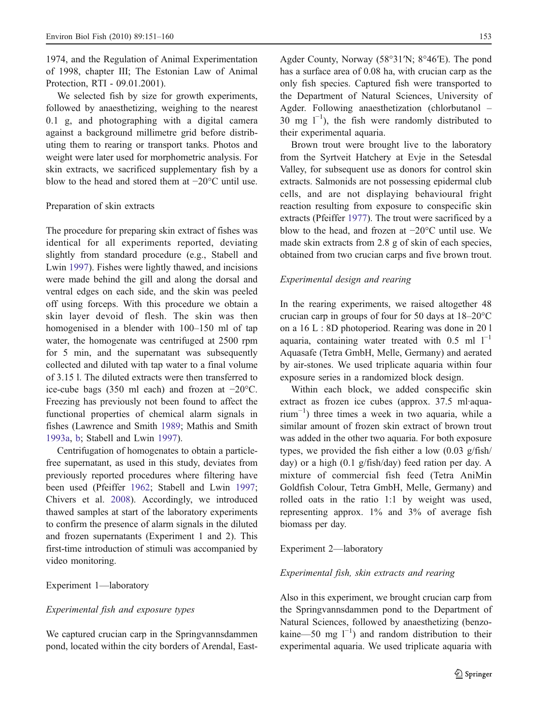1974, and the Regulation of Animal Experimentation of 1998, chapter III; The Estonian Law of Animal Protection, RTI - 09.01.2001).

We selected fish by size for growth experiments, followed by anaesthetizing, weighing to the nearest 0.1 g, and photographing with a digital camera against a background millimetre grid before distributing them to rearing or transport tanks. Photos and weight were later used for morphometric analysis. For skin extracts, we sacrificed supplementary fish by a blow to the head and stored them at −20°C until use.

# Preparation of skin extracts

The procedure for preparing skin extract of fishes was identical for all experiments reported, deviating slightly from standard procedure (e.g., Stabell and Lwin [1997](#page-9-0)). Fishes were lightly thawed, and incisions were made behind the gill and along the dorsal and ventral edges on each side, and the skin was peeled off using forceps. With this procedure we obtain a skin layer devoid of flesh. The skin was then homogenised in a blender with 100–150 ml of tap water, the homogenate was centrifuged at 2500 rpm for 5 min, and the supernatant was subsequently collected and diluted with tap water to a final volume of 3.15 l. The diluted extracts were then transferred to ice-cube bags (350 ml each) and frozen at −20°C. Freezing has previously not been found to affect the functional properties of chemical alarm signals in fishes (Lawrence and Smith [1989;](#page-9-0) Mathis and Smith [1993a](#page-9-0), [b;](#page-9-0) Stabell and Lwin [1997](#page-9-0)).

Centrifugation of homogenates to obtain a particlefree supernatant, as used in this study, deviates from previously reported procedures where filtering have been used (Pfeiffer [1962;](#page-9-0) Stabell and Lwin [1997](#page-9-0); Chivers et al. [2008\)](#page-8-0). Accordingly, we introduced thawed samples at start of the laboratory experiments to confirm the presence of alarm signals in the diluted and frozen supernatants (Experiment 1 and 2). This first-time introduction of stimuli was accompanied by video monitoring.

Experiment 1—laboratory

#### Experimental fish and exposure types

We captured crucian carp in the Springvannsdammen pond, located within the city borders of Arendal, East-

Agder County, Norway (58°31′N; 8°46′E). The pond has a surface area of 0.08 ha, with crucian carp as the only fish species. Captured fish were transported to the Department of Natural Sciences, University of Agder. Following anaesthetization (chlorbutanol – 30 mg  $1^{-1}$ ), the fish were randomly distributed to their experimental aquaria.

Brown trout were brought live to the laboratory from the Syrtveit Hatchery at Evje in the Setesdal Valley, for subsequent use as donors for control skin extracts. Salmonids are not possessing epidermal club cells, and are not displaying behavioural fright reaction resulting from exposure to conspecific skin extracts (Pfeiffer [1977](#page-9-0)). The trout were sacrificed by a blow to the head, and frozen at −20°C until use. We made skin extracts from 2.8 g of skin of each species, obtained from two crucian carps and five brown trout.

#### Experimental design and rearing

In the rearing experiments, we raised altogether 48 crucian carp in groups of four for 50 days at 18–20°C on a 16 L : 8D photoperiod. Rearing was done in 20 l aquaria, containing water treated with  $0.5$  ml  $1^{-1}$ Aquasafe (Tetra GmbH, Melle, Germany) and aerated by air-stones. We used triplicate aquaria within four exposure series in a randomized block design.

Within each block, we added conspecific skin extract as frozen ice cubes (approx. 37.5 ml·aquarium−<sup>1</sup> ) three times a week in two aquaria, while a similar amount of frozen skin extract of brown trout was added in the other two aquaria. For both exposure types, we provided the fish either a low (0.03 g/fish/ day) or a high (0.1 g/fish/day) feed ration per day. A mixture of commercial fish feed (Tetra AniMin Goldfish Colour, Tetra GmbH, Melle, Germany) and rolled oats in the ratio 1:1 by weight was used, representing approx. 1% and 3% of average fish biomass per day.

#### Experiment 2—laboratory

#### Experimental fish, skin extracts and rearing

Also in this experiment, we brought crucian carp from the Springvannsdammen pond to the Department of Natural Sciences, followed by anaesthetizing (benzokaine—50 mg  $l^{-1}$ ) and random distribution to their experimental aquaria. We used triplicate aquaria with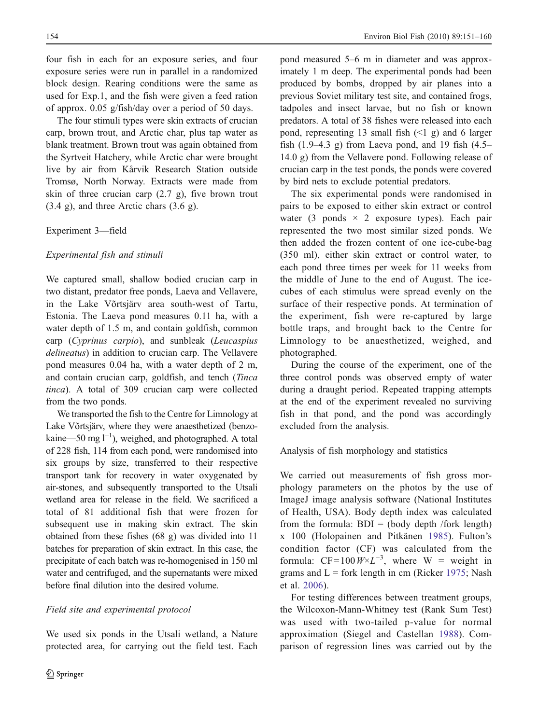four fish in each for an exposure series, and four exposure series were run in parallel in a randomized block design. Rearing conditions were the same as used for Exp.1, and the fish were given a feed ration of approx. 0.05 g/fish/day over a period of 50 days.

The four stimuli types were skin extracts of crucian carp, brown trout, and Arctic char, plus tap water as blank treatment. Brown trout was again obtained from the Syrtveit Hatchery, while Arctic char were brought live by air from Kårvik Research Station outside Tromsø, North Norway. Extracts were made from skin of three crucian carp  $(2.7 \text{ g})$ , five brown trout (3.4 g), and three Arctic chars (3.6 g).

## Experiment 3—field

## Experimental fish and stimuli

We captured small, shallow bodied crucian carp in two distant, predator free ponds, Laeva and Vellavere, in the Lake Võrtsjärv area south-west of Tartu, Estonia. The Laeva pond measures 0.11 ha, with a water depth of 1.5 m, and contain goldfish, common carp (Cyprinus carpio), and sunbleak (Leucaspius delineatus) in addition to crucian carp. The Vellavere pond measures 0.04 ha, with a water depth of 2 m, and contain crucian carp, goldfish, and tench (Tinca tinca). A total of 309 crucian carp were collected from the two ponds.

We transported the fish to the Centre for Limnology at Lake Võrtsjärv, where they were anaesthetized (benzokaine—50 mg  $l^{-1}$ ), weighed, and photographed. A total of 228 fish, 114 from each pond, were randomised into six groups by size, transferred to their respective transport tank for recovery in water oxygenated by air-stones, and subsequently transported to the Utsali wetland area for release in the field. We sacrificed a total of 81 additional fish that were frozen for subsequent use in making skin extract. The skin obtained from these fishes (68 g) was divided into 11 batches for preparation of skin extract. In this case, the precipitate of each batch was re-homogenised in 150 ml water and centrifuged, and the supernatants were mixed before final dilution into the desired volume.

#### Field site and experimental protocol

We used six ponds in the Utsali wetland, a Nature protected area, for carrying out the field test. Each pond measured 5–6 m in diameter and was approximately 1 m deep. The experimental ponds had been produced by bombs, dropped by air planes into a previous Soviet military test site, and contained frogs, tadpoles and insect larvae, but no fish or known predators. A total of 38 fishes were released into each pond, representing 13 small fish  $(\leq)$  and 6 larger fish  $(1.9-4.3 \text{ g})$  from Laeva pond, and 19 fish  $(4.5-$ 14.0 g) from the Vellavere pond. Following release of crucian carp in the test ponds, the ponds were covered by bird nets to exclude potential predators.

The six experimental ponds were randomised in pairs to be exposed to either skin extract or control water (3 ponds  $\times$  2 exposure types). Each pair represented the two most similar sized ponds. We then added the frozen content of one ice-cube-bag (350 ml), either skin extract or control water, to each pond three times per week for 11 weeks from the middle of June to the end of August. The icecubes of each stimulus were spread evenly on the surface of their respective ponds. At termination of the experiment, fish were re-captured by large bottle traps, and brought back to the Centre for Limnology to be anaesthetized, weighed, and photographed.

During the course of the experiment, one of the three control ponds was observed empty of water during a draught period. Repeated trapping attempts at the end of the experiment revealed no surviving fish in that pond, and the pond was accordingly excluded from the analysis.

Analysis of fish morphology and statistics

We carried out measurements of fish gross morphology parameters on the photos by the use of ImageJ image analysis software (National Institutes of Health, USA). Body depth index was calculated from the formula:  $BDI = (body depth /fork length)$ x 100 (Holopainen and Pitkänen [1985](#page-8-0)). Fulton's condition factor (CF) was calculated from the formula:  $CF = 100 W \times L^{-3}$ , where W = weight in grams and  $L =$  fork length in cm (Ricker [1975](#page-9-0); Nash et al. [2006\)](#page-9-0).

For testing differences between treatment groups, the Wilcoxon-Mann-Whitney test (Rank Sum Test) was used with two-tailed p-value for normal approximation (Siegel and Castellan [1988\)](#page-9-0). Comparison of regression lines was carried out by the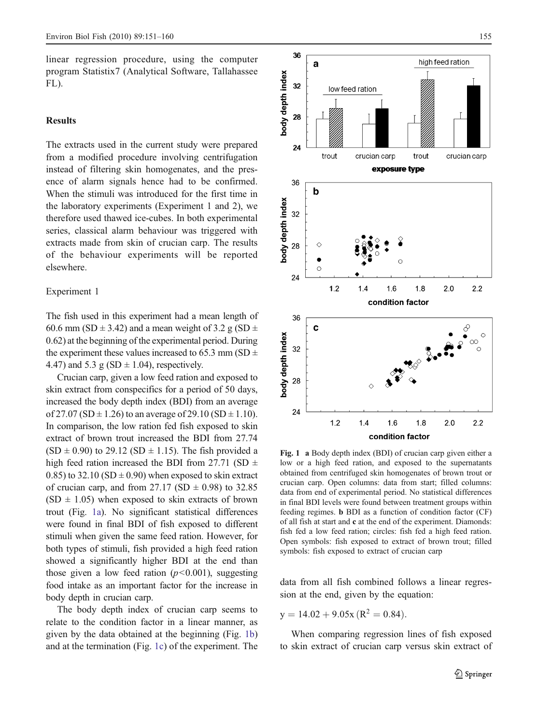linear regression procedure, using the computer program Statistix7 (Analytical Software, Tallahassee FL).

## Results

The extracts used in the current study were prepared from a modified procedure involving centrifugation instead of filtering skin homogenates, and the presence of alarm signals hence had to be confirmed. When the stimuli was introduced for the first time in the laboratory experiments (Experiment 1 and 2), we therefore used thawed ice-cubes. In both experimental series, classical alarm behaviour was triggered with extracts made from skin of crucian carp. The results of the behaviour experiments will be reported elsewhere.

## Experiment 1

The fish used in this experiment had a mean length of 60.6 mm (SD  $\pm$  3.42) and a mean weight of 3.2 g (SD  $\pm$ 0.62) at the beginning of the experimental period. During the experiment these values increased to 65.3 mm (SD  $\pm$ 4.47) and 5.3 g (SD  $\pm$  1.04), respectively.

Crucian carp, given a low feed ration and exposed to skin extract from conspecifics for a period of 50 days, increased the body depth index (BDI) from an average of 27.07 (SD  $\pm$  1.26) to an average of 29.10 (SD  $\pm$  1.10). In comparison, the low ration fed fish exposed to skin extract of brown trout increased the BDI from 27.74  $(SD \pm 0.90)$  to 29.12  $(SD \pm 1.15)$ . The fish provided a high feed ration increased the BDI from 27.71 (SD  $\pm$ 0.85) to 32.10 (SD  $\pm$  0.90) when exposed to skin extract of crucian carp, and from  $27.17$  (SD  $\pm$  0.98) to 32.85  $(SD \pm 1.05)$  when exposed to skin extracts of brown trout (Fig. 1a). No significant statistical differences were found in final BDI of fish exposed to different stimuli when given the same feed ration. However, for both types of stimuli, fish provided a high feed ration showed a significantly higher BDI at the end than those given a low feed ration  $(p<0.001)$ , suggesting food intake as an important factor for the increase in body depth in crucian carp.

The body depth index of crucian carp seems to relate to the condition factor in a linear manner, as given by the data obtained at the beginning (Fig. 1b) and at the termination (Fig. 1c) of the experiment. The



Fig. 1 a Body depth index (BDI) of crucian carp given either a low or a high feed ration, and exposed to the supernatants obtained from centrifuged skin homogenates of brown trout or crucian carp. Open columns: data from start; filled columns: data from end of experimental period. No statistical differences in final BDI levels were found between treatment groups within feeding regimes. b BDI as a function of condition factor (CF) of all fish at start and c at the end of the experiment. Diamonds: fish fed a low feed ration; circles: fish fed a high feed ration. Open symbols: fish exposed to extract of brown trout; filled symbols: fish exposed to extract of crucian carp

data from all fish combined follows a linear regression at the end, given by the equation:

$$
y = 14.02 + 9.05x (R^2 = 0.84).
$$

When comparing regression lines of fish exposed to skin extract of crucian carp versus skin extract of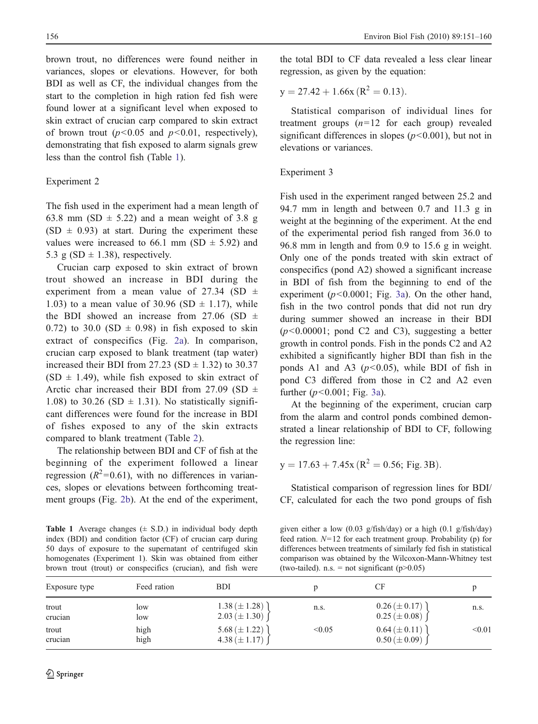brown trout, no differences were found neither in variances, slopes or elevations. However, for both BDI as well as CF, the individual changes from the start to the completion in high ration fed fish were found lower at a significant level when exposed to skin extract of crucian carp compared to skin extract of brown trout  $(p<0.05$  and  $p<0.01$ , respectively), demonstrating that fish exposed to alarm signals grew less than the control fish (Table 1).

## Experiment 2

The fish used in the experiment had a mean length of 63.8 mm (SD  $\pm$  5.22) and a mean weight of 3.8 g  $(SD \pm 0.93)$  at start. During the experiment these values were increased to 66.1 mm (SD  $\pm$  5.92) and 5.3 g (SD  $\pm$  1.38), respectively.

Crucian carp exposed to skin extract of brown trout showed an increase in BDI during the experiment from a mean value of 27.34 (SD  $\pm$ 1.03) to a mean value of 30.96 (SD  $\pm$  1.17), while the BDI showed an increase from 27.06 (SD  $\pm$ 0.72) to 30.0 (SD  $\pm$  0.98) in fish exposed to skin extract of conspecifics (Fig. [2a\)](#page-6-0). In comparison, crucian carp exposed to blank treatment (tap water) increased their BDI from 27.23 (SD  $\pm$  1.32) to 30.37  $(SD \pm 1.49)$ , while fish exposed to skin extract of Arctic char increased their BDI from 27.09 (SD  $\pm$ 1.08) to 30.26 (SD  $\pm$  1.31). No statistically significant differences were found for the increase in BDI of fishes exposed to any of the skin extracts compared to blank treatment (Table [2\)](#page-7-0).

The relationship between BDI and CF of fish at the beginning of the experiment followed a linear regression ( $R^2$ =0.61), with no differences in variances, slopes or elevations between forthcoming treatment groups (Fig. [2b\)](#page-6-0). At the end of the experiment,

Table 1 Average changes  $(\pm S.D.)$  in individual body depth index (BDI) and condition factor (CF) of crucian carp during 50 days of exposure to the supernatant of centrifuged skin homogenates (Experiment 1). Skin was obtained from either brown trout (trout) or conspecifics (crucian), and fish were

the total BDI to CF data revealed a less clear linear regression, as given by the equation:

$$
y = 27.42 + 1.66x (R^2 = 0.13).
$$

Statistical comparison of individual lines for treatment groups  $(n=12$  for each group) revealed significant differences in slopes  $(p<0.001)$ , but not in elevations or variances.

## Experiment 3

Fish used in the experiment ranged between 25.2 and 94.7 mm in length and between 0.7 and 11.3 g in weight at the beginning of the experiment. At the end of the experimental period fish ranged from 36.0 to 96.8 mm in length and from 0.9 to 15.6 g in weight. Only one of the ponds treated with skin extract of conspecifics (pond A2) showed a significant increase in BDI of fish from the beginning to end of the experiment  $(p<0.0001$ ; Fig. [3a](#page-7-0)). On the other hand, fish in the two control ponds that did not run dry during summer showed an increase in their BDI  $(p<0.00001$ ; pond C2 and C3), suggesting a better growth in control ponds. Fish in the ponds C2 and A2 exhibited a significantly higher BDI than fish in the ponds A1 and A3  $(p<0.05)$ , while BDI of fish in pond C3 differed from those in C2 and A2 even further  $(p<0.001;$  Fig. [3a](#page-7-0)).

At the beginning of the experiment, crucian carp from the alarm and control ponds combined demonstrated a linear relationship of BDI to CF, following the regression line:

$$
y = 17.63 + 7.45x (R2 = 0.56; Fig. 3B).
$$

Statistical comparison of regression lines for BDI/ CF, calculated for each the two pond groups of fish

given either a low (0.03 g/fish/day) or a high (0.1 g/fish/day) feed ration.  $N=12$  for each treatment group. Probability (p) for differences between treatments of similarly fed fish in statistical comparison was obtained by the Wilcoxon-Mann-Whitney test (two-tailed). n.s. = not significant  $(p>0.05)$ 

| Exposure type    | Feed ration  | <b>BDI</b>                                     |        | CF                                                    |        |
|------------------|--------------|------------------------------------------------|--------|-------------------------------------------------------|--------|
| trout<br>crucian | low<br>low   | $1.38 (\pm 1.28)$<br>2.03 ( $\pm$ 1.30) $\int$ | n.s.   | $0.26 (\pm 0.17)$<br>$0.25 \ (\pm 0.08) \ \ \text{f}$ | n.s.   |
| trout<br>crucian | high<br>high | 5.68 ( $\pm$ 1.22) ]<br>4.38 $(\pm 1.17)$      | < 0.05 | $0.64 (\pm 0.11)$<br>$0.50 \, (\pm 0.09)$             | < 0.01 |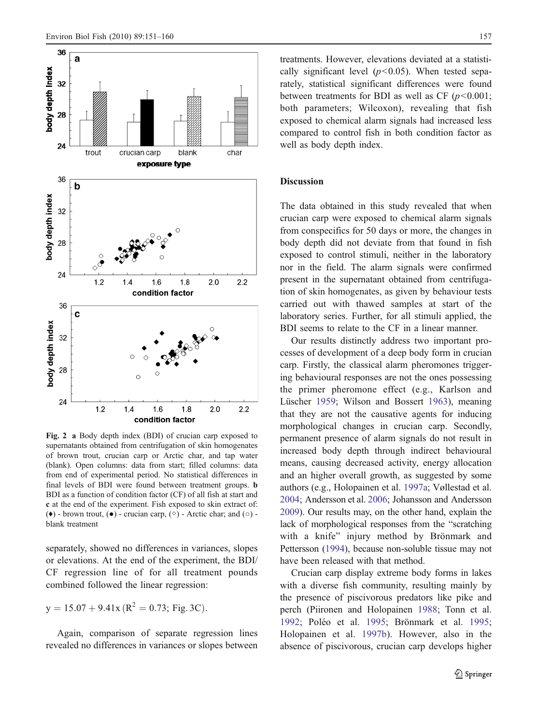<span id="page-6-0"></span>

Fig. 2 a Body depth index (BDI) of crucian carp exposed to supernatants obtained from centrifugation of skin homogenates of brown trout, crucian carp or Arctic char, and tap water (blank). Open columns: data from start; filled columns: data from end of experimental period. No statistical differences in final levels of BDI were found between treatment groups. b BDI as a function of condition factor (CF) of all fish at start and c at the end of the experiment. Fish exposed to skin extract of: ( $\bullet$ ) - brown trout, ( $\bullet$ ) - crucian carp, ( $\diamond$ ) - Arctic char; and ( $\circ$ ) blank treatment

separately, showed no differences in variances, slopes or elevations. At the end of the experiment, the BDI/ CF regression line of for all treatment pounds combined followed the linear regression:

 $y = 15.07 + 9.41x (R^2 = 0.73; Fig. 3C).$ 

Again, comparison of separate regression lines revealed no differences in variances or slopes between treatments. However, elevations deviated at a statistically significant level  $(p<0.05)$ . When tested separately, statistical significant differences were found between treatments for BDI as well as CF  $(p<0.001$ ; both parameters; Wilcoxon), revealing that fish exposed to chemical alarm signals had increased less compared to control fish in both condition factor as well as body depth index.

## **Discussion**

The data obtained in this study revealed that when crucian carp were exposed to chemical alarm signals from conspecifics for 50 days or more, the changes in body depth did not deviate from that found in fish exposed to control stimuli, neither in the laboratory nor in the field. The alarm signals were confirmed present in the supernatant obtained from centrifugation of skin homogenates, as given by behaviour tests carried out with thawed samples at start of the laboratory series. Further, for all stimuli applied, the BDI seems to relate to the CF in a linear manner.

Our results distinctly address two important processes of development of a deep body form in crucian carp. Firstly, the classical alarm pheromones triggering behavioural responses are not the ones possessing the primer pheromone effect (e.g., Karlson and Lüscher [1959](#page-9-0); Wilson and Bossert [1963\)](#page-9-0), meaning that they are not the causative agents for inducing morphological changes in crucian carp. Secondly, permanent presence of alarm signals do not result in increased body depth through indirect behavioural means, causing decreased activity, energy allocation and an higher overall growth, as suggested by some authors (e.g., Holopainen et al. [1997a;](#page-8-0) Vøllestad et al. [2004;](#page-9-0) Andersson et al. [2006;](#page-8-0) Johansson and Andersson [2009](#page-9-0)). Our results may, on the other hand, explain the lack of morphological responses from the "scratching with a knife" injury method by Brönmark and Pettersson [\(1994\)](#page-8-0), because non-soluble tissue may not have been released with that method.

Crucian carp display extreme body forms in lakes with a diverse fish community, resulting mainly by the presence of piscivorous predators like pike and perch (Piironen and Holopainen [1988;](#page-9-0) Tonn et al. [1992;](#page-9-0) Poléo et al. [1995](#page-9-0); Brönmark et al. [1995;](#page-8-0) Holopainen et al. [1997b\)](#page-9-0). However, also in the absence of piscivorous, crucian carp develops higher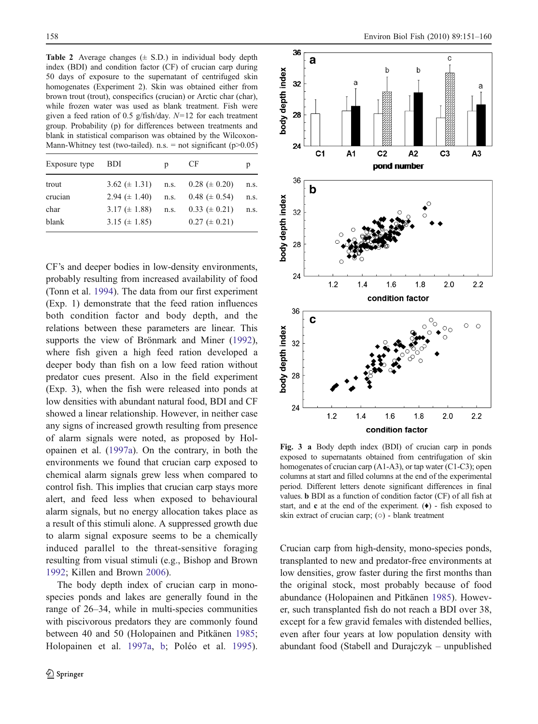<span id="page-7-0"></span>**Table 2** Average changes  $(\pm$  S.D.) in individual body depth index (BDI) and condition factor (CF) of crucian carp during 50 days of exposure to the supernatant of centrifuged skin homogenates (Experiment 2). Skin was obtained either from brown trout (trout), conspecifics (crucian) or Arctic char (char), while frozen water was used as blank treatment. Fish were given a feed ration of 0.5 g/fish/day.  $N=12$  for each treatment group. Probability (p) for differences between treatments and blank in statistical comparison was obtained by the Wilcoxon-Mann-Whitney test (two-tailed). n.s. = not significant ( $p$ >0.05)

| Exposure type | BDI                 | p    | CF                  | p    |
|---------------|---------------------|------|---------------------|------|
| trout         | $3.62 \ (\pm 1.31)$ | n.s. | $0.28 \ (\pm 0.20)$ | n.s. |
| crucian       | 2.94 $(\pm 1.40)$   | n.s. | $0.48 \ (\pm 0.54)$ | n.s. |
| char          | 3.17 ( $\pm$ 1.88)  | n.s. | $0.33 \ (\pm 0.21)$ | n.s. |
| blank         | 3.15 ( $\pm$ 1.85)  |      | $0.27 (\pm 0.21)$   |      |

CF's and deeper bodies in low-density environments, probably resulting from increased availability of food (Tonn et al. [1994](#page-9-0)). The data from our first experiment (Exp. 1) demonstrate that the feed ration influences both condition factor and body depth, and the relations between these parameters are linear. This supports the view of Brönmark and Miner ([1992](#page-8-0)), where fish given a high feed ration developed a deeper body than fish on a low feed ration without predator cues present. Also in the field experiment (Exp. 3), when the fish were released into ponds at low densities with abundant natural food, BDI and CF showed a linear relationship. However, in neither case any signs of increased growth resulting from presence of alarm signals were noted, as proposed by Holopainen et al. ([1997a\)](#page-8-0). On the contrary, in both the environments we found that crucian carp exposed to chemical alarm signals grew less when compared to control fish. This implies that crucian carp stays more alert, and feed less when exposed to behavioural alarm signals, but no energy allocation takes place as a result of this stimuli alone. A suppressed growth due to alarm signal exposure seems to be a chemically induced parallel to the threat-sensitive foraging resulting from visual stimuli (e.g., Bishop and Brown [1992;](#page-8-0) Killen and Brown [2006\)](#page-9-0).

The body depth index of crucian carp in monospecies ponds and lakes are generally found in the range of 26–34, while in multi-species communities with piscivorous predators they are commonly found between 40 and 50 (Holopainen and Pitkänen [1985](#page-8-0); Holopainen et al. [1997a](#page-8-0), [b](#page-9-0); Poléo et al. [1995](#page-9-0)).



Fig. 3 a Body depth index (BDI) of crucian carp in ponds exposed to supernatants obtained from centrifugation of skin homogenates of crucian carp (A1-A3), or tap water (C1-C3); open columns at start and filled columns at the end of the experimental period. Different letters denote significant differences in final values. b BDI as a function of condition factor (CF) of all fish at start, and **c** at the end of the experiment.  $(\bullet)$  - fish exposed to skin extract of crucian carp;  $( \circ )$  - blank treatment

Crucian carp from high-density, mono-species ponds, transplanted to new and predator-free environments at low densities, grow faster during the first months than the original stock, most probably because of food abundance (Holopainen and Pitkänen [1985](#page-8-0)). However, such transplanted fish do not reach a BDI over 38, except for a few gravid females with distended bellies, even after four years at low population density with abundant food (Stabell and Durajczyk – unpublished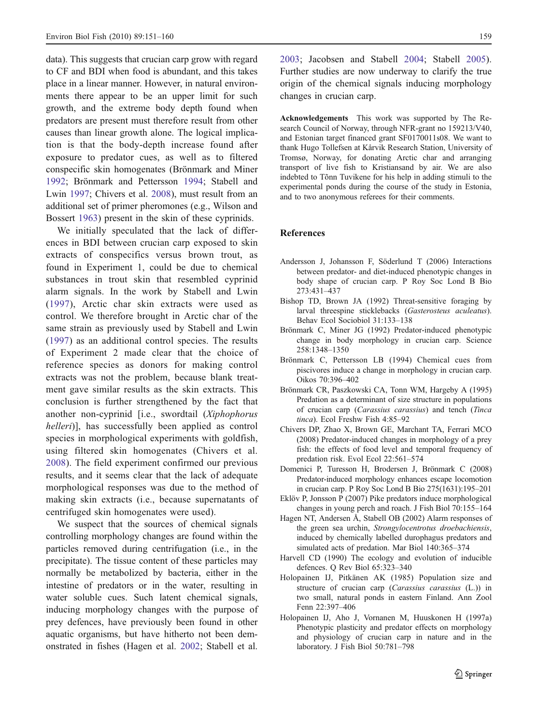<span id="page-8-0"></span>data). This suggests that crucian carp grow with regard to CF and BDI when food is abundant, and this takes place in a linear manner. However, in natural environments there appear to be an upper limit for such growth, and the extreme body depth found when predators are present must therefore result from other causes than linear growth alone. The logical implication is that the body-depth increase found after exposure to predator cues, as well as to filtered conspecific skin homogenates (Brönmark and Miner 1992; Brönmark and Pettersson 1994; Stabell and Lwin [1997;](#page-9-0) Chivers et al. 2008), must result from an additional set of primer pheromones (e.g., Wilson and Bossert [1963\)](#page-9-0) present in the skin of these cyprinids.

We initially speculated that the lack of differences in BDI between crucian carp exposed to skin extracts of conspecifics versus brown trout, as found in Experiment 1, could be due to chemical substances in trout skin that resembled cyprinid alarm signals. In the work by Stabell and Lwin ([1997\)](#page-9-0), Arctic char skin extracts were used as control. We therefore brought in Arctic char of the same strain as previously used by Stabell and Lwin ([1997](#page-9-0)) as an additional control species. The results of Experiment 2 made clear that the choice of reference species as donors for making control extracts was not the problem, because blank treatment gave similar results as the skin extracts. This conclusion is further strengthened by the fact that another non-cyprinid [i.e., swordtail (Xiphophorus helleri)], has successfully been applied as control species in morphological experiments with goldfish, using filtered skin homogenates (Chivers et al. 2008). The field experiment confirmed our previous results, and it seems clear that the lack of adequate morphological responses was due to the method of making skin extracts (i.e., because supernatants of centrifuged skin homogenates were used).

We suspect that the sources of chemical signals controlling morphology changes are found within the particles removed during centrifugation (i.e., in the precipitate). The tissue content of these particles may normally be metabolized by bacteria, either in the intestine of predators or in the water, resulting in water soluble cues. Such latent chemical signals, inducing morphology changes with the purpose of prey defences, have previously been found in other aquatic organisms, but have hitherto not been demonstrated in fishes (Hagen et al. 2002; Stabell et al.

[2003](#page-9-0); Jacobsen and Stabell [2004](#page-9-0); Stabell [2005\)](#page-9-0). Further studies are now underway to clarify the true origin of the chemical signals inducing morphology changes in crucian carp.

Acknowledgements This work was supported by The Research Council of Norway, through NFR-grant no 159213/V40, and Estonian target financed grant SF0170011s08. We want to thank Hugo Tollefsen at Kårvik Research Station, University of Tromsø, Norway, for donating Arctic char and arranging transport of live fish to Kristiansand by air. We are also indebted to Tõnn Tuvikene for his help in adding stimuli to the experimental ponds during the course of the study in Estonia, and to two anonymous referees for their comments.

#### References

- Andersson J, Johansson F, Söderlund T (2006) Interactions between predator- and diet-induced phenotypic changes in body shape of crucian carp. P Roy Soc Lond B Bio 273:431–437
- Bishop TD, Brown JA (1992) Threat-sensitive foraging by larval threespine sticklebacks (Gasterosteus aculeatus). Behav Ecol Sociobiol 31:133–138
- Brönmark C, Miner JG (1992) Predator-induced phenotypic change in body morphology in crucian carp. Science 258:1348–1350
- Brönmark C, Pettersson LB (1994) Chemical cues from piscivores induce a change in morphology in crucian carp. Oikos 70:396–402
- Brönmark CR, Paszkowski CA, Tonn WM, Hargeby A (1995) Predation as a determinant of size structure in populations of crucian carp (Carassius carassius) and tench (Tinca tinca). Ecol Freshw Fish 4:85–92
- Chivers DP, Zhao X, Brown GE, Marchant TA, Ferrari MCO (2008) Predator-induced changes in morphology of a prey fish: the effects of food level and temporal frequency of predation risk. Evol Ecol 22:561–574
- Domenici P, Turesson H, Brodersen J, Brönmark C (2008) Predator-induced morphology enhances escape locomotion in crucian carp. P Roy Soc Lond B Bio 275(1631):195–201
- Eklöv P, Jonsson P (2007) Pike predators induce morphological changes in young perch and roach. J Fish Biol 70:155–164
- Hagen NT, Andersen Å, Stabell OB (2002) Alarm responses of the green sea urchin, Strongylocentrotus droebachiensis, induced by chemically labelled durophagus predators and simulated acts of predation. Mar Biol 140:365–374
- Harvell CD (1990) The ecology and evolution of inducible defences. Q Rev Biol 65:323–340
- Holopainen IJ, Pitkänen AK (1985) Population size and structure of crucian carp (Carassius carassius (L.)) in two small, natural ponds in eastern Finland. Ann Zool Fenn 22:397–406
- Holopainen IJ, Aho J, Vornanen M, Huuskonen H (1997a) Phenotypic plasticity and predator effects on morphology and physiology of crucian carp in nature and in the laboratory. J Fish Biol 50:781–798